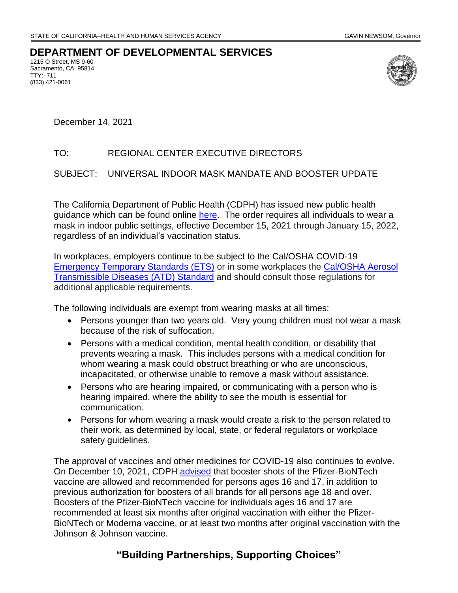## **DEPARTMENT OF DEVELOPMENTAL SERVICES**

1215 O Street, MS 9-60 Sacramento, CA 95814 TTY: 711 (833) 421-0061



December 14, 2021

## TO: REGIONAL CENTER EXECUTIVE DIRECTORS

## SUBJECT: UNIVERSAL INDOOR MASK MANDATE AND BOOSTER UPDATE

The California Department of Public Health (CDPH) has issued new public health guidance which can be found online [here.](https://www.cdph.ca.gov/Programs/CID/DCDC/Pages/COVID-19/guidance-for-face-coverings.aspx) The order requires all individuals to wear a mask in indoor public settings, effective December 15, 2021 through January 15, 2022, regardless of an individual's vaccination status.

In workplaces, employers continue to be subject to the Cal/OSHA COVID-19 [Emergency Temporary Standards \(ETS\)](https://www.dir.ca.gov/dosh/coronavirus/ETS.html) or in some workplaces the Cal/OSHA Aerosol [Transmissible Diseases \(ATD\)](https://www.dir.ca.gov/dosh/dosh_publications/ATD-Guide.pdf) Standard and should consult those regulations for additional applicable requirements.

The following individuals are exempt from wearing masks at all times:

- Persons younger than two years old. Very young children must not wear a mask because of the risk of suffocation.
- Persons with a medical condition, mental health condition, or disability that prevents wearing a mask. This includes persons with a medical condition for whom wearing a mask could obstruct breathing or who are unconscious, incapacitated, or otherwise unable to remove a mask without assistance.
- Persons who are hearing impaired, or communicating with a person who is hearing impaired, where the ability to see the mouth is essential for communication.
- Persons for whom wearing a mask would create a risk to the person related to their work, as determined by local, state, or federal regulators or workplace safety guidelines.

The approval of vaccines and other medicines for COVID-19 also continues to evolve. On December 10, 2021, CDPH [advised](https://www.cdph.ca.gov/Programs/CID/DCDC/Pages/COVID-19/COVID-19-Vaccine-Boosters.aspx) that booster shots of the Pfizer-BioNTech vaccine are allowed and recommended for persons ages 16 and 17, in addition to previous authorization for boosters of all brands for all persons age 18 and over. Boosters of the Pfizer-BioNTech vaccine for individuals ages 16 and 17 are recommended at least six months after original vaccination with either the Pfizer-BioNTech or Moderna vaccine, or at least two months after original vaccination with the Johnson & Johnson vaccine.

## **"Building Partnerships, Supporting Choices"**